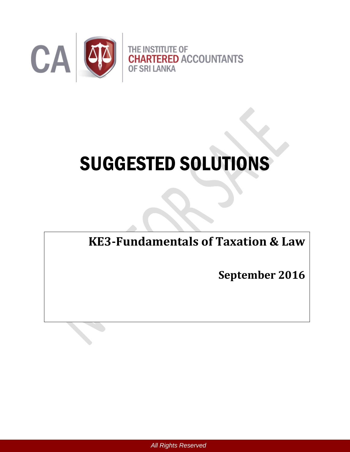

# SUGGESTED SOLUTIONS

**KE3-Fundamentals of Taxation & Law**

**September 2016**

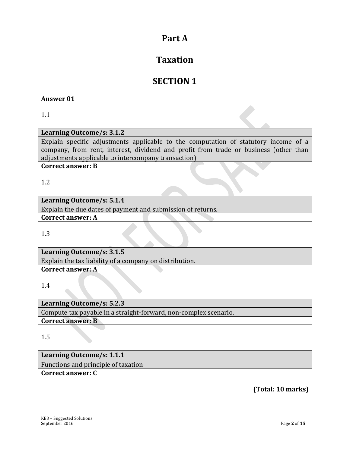## **Part A**

# **Taxation**

# **SECTION 1**

### **Answer 01**

1.1

#### **Learning Outcome/s: 3.1.2**

Explain specific adjustments applicable to the computation of statutory income of a company, from rent, interest, dividend and profit from trade or business (other than adjustments applicable to intercompany transaction)

**Correct answer: B**

1.2

## **Learning Outcome/s: 5.1.4**

Explain the due dates of payment and submission of returns. **Correct answer: A**

1.3

**Learning Outcome/s: 3.1.5** Explain the tax liability of a company on distribution. **Correct answer: A**

#### 1.4

**Learning Outcome/s: 5.2.3** Compute tax payable in a straight-forward, non-complex scenario. **Correct answer: B**

1.5

## **Learning Outcome/s: 1.1.1**

Functions and principle of taxation

**Correct answer: C**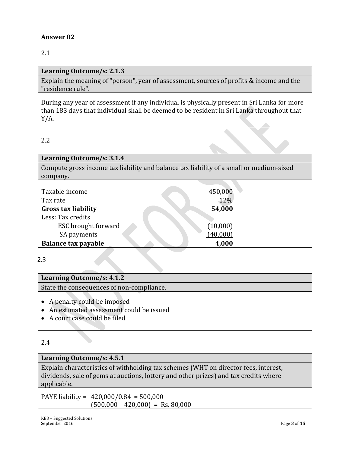2.1

#### **Learning Outcome/s: 2.1.3**

Explain the meaning of "person", year of assessment, sources of profits & income and the "residence rule".

During any year of assessment if any individual is physically present in Sri Lanka for more than 183 days that individual shall be deemed to be resident in Sri Lanka throughout that Y/A.

#### 2.2

| Learning Outcome/s: 3.1.4                                                               |          |  |  |  |  |
|-----------------------------------------------------------------------------------------|----------|--|--|--|--|
| Compute gross income tax liability and balance tax liability of a small or medium-sized |          |  |  |  |  |
| company.                                                                                |          |  |  |  |  |
|                                                                                         |          |  |  |  |  |
| Taxable income                                                                          | 450,000  |  |  |  |  |
| Tax rate                                                                                | 12%      |  |  |  |  |
| <b>Gross tax liability</b>                                                              | 54,000   |  |  |  |  |
| Less: Tax credits                                                                       |          |  |  |  |  |
| ESC brought forward                                                                     | (10,000) |  |  |  |  |
| SA payments                                                                             | (40,000) |  |  |  |  |
| <b>Balance tax payable</b>                                                              | 4.000    |  |  |  |  |

2.3

# **Learning Outcome/s: 4.1.2** State the consequences of non-compliance. • A penalty could be imposed An estimated assessment could be issued

A court case could be filed

#### 2.4

#### **Learning Outcome/s: 4.5.1**

Explain characteristics of withholding tax schemes (WHT on director fees, interest, dividends, sale of gems at auctions, lottery and other prizes) and tax credits where applicable.

PAYE liability = 420,000/0.84 = 500,000  $(500,000 - 420,000) =$ Rs. 80,000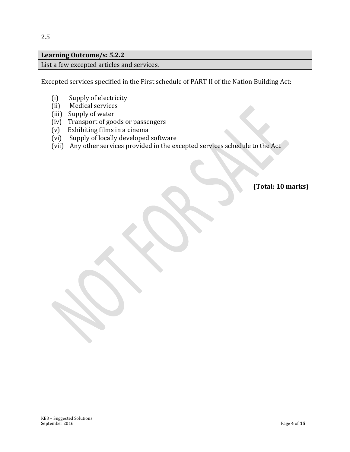## **Learning Outcome/s: 5.2.2**

List a few excepted articles and services.

Excepted services specified in the First schedule of PART II of the Nation Building Act:

- (i) Supply of electricity
- (ii) Medical services
- (iii) Supply of water
- (iv) Transport of goods or passengers
- (v) Exhibiting films in a cinema
- (vi) Supply of locally developed software
- (vii) Any other services provided in the excepted services schedule to the Act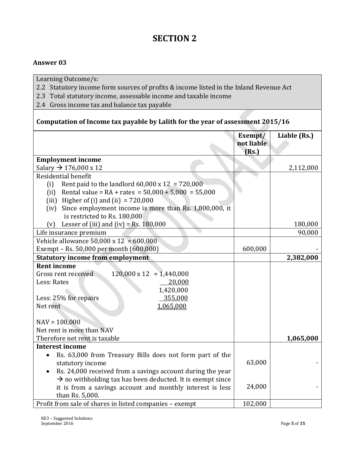# **SECTION 2**

#### **Answer 03**

Learning Outcome/s:

- 2.2 Statutory income form sources of profits & income listed in the Inland Revenue Act
- 2.3 Total statutory income, assessable income and taxable income
- 2.4 Gross income tax and balance tax payable

## **Computation of Income tax payable by Lalith for the year of assessment 2015/16**

|                                                                        | Exempt/<br>not liable<br>(Rs.) | Liable (Rs.) |
|------------------------------------------------------------------------|--------------------------------|--------------|
| <b>Employment income</b>                                               |                                |              |
| Salary $\rightarrow$ 176,000 x 12                                      |                                | 2,112,000    |
| Residential benefit                                                    |                                |              |
| Rent paid to the landlord $60,000 \times 12 = 720,000$<br>(i)          |                                |              |
| (ii) Rental value = $RA + rates = 50,000 + 5,000 = 55,000$             |                                |              |
| (iii) Higher of (i) and (ii) $= 720,000$                               |                                |              |
| Since employment income is more than Rs. 1,800,000, it<br>(iv)         |                                |              |
| is restricted to Rs. 180,000                                           |                                |              |
| Lesser of (iii) and (iv) = Rs. $180,000$<br>(v)                        |                                | 180,000      |
| Life insurance premium                                                 |                                | 90,000       |
| Vehicle allowance $50,000 \times 12 = 600,000$                         |                                |              |
| Exempt - Rs. 50,000 per month (600,000)                                | 600,000                        |              |
| <b>Statutory income from employment</b>                                |                                | 2,382,000    |
| <b>Rent income</b>                                                     |                                |              |
| $120,000 \times 12 = 1,440,000$<br>Gross rent received                 |                                |              |
| Less: Rates<br>20,000                                                  |                                |              |
| 1,420,000                                                              |                                |              |
| Less: 25% for repairs<br>355,000                                       |                                |              |
| 1,065,000<br>Net rent                                                  |                                |              |
| $NAV = 100,000$                                                        |                                |              |
| Net rent is more than NAV                                              |                                |              |
| Therefore net rent is taxable                                          |                                | 1,065,000    |
| <b>Interest income</b>                                                 |                                |              |
| Rs. 63,000 from Treasury Bills does not form part of the               |                                |              |
| statutory income                                                       | 63,000                         |              |
| Rs. 24,000 received from a savings account during the year             |                                |              |
| $\rightarrow$ no withholding tax has been deducted. It is exempt since |                                |              |
| it is from a savings account and monthly interest is less              | 24,000                         |              |
| than Rs. 5,000.                                                        |                                |              |
| Profit from sale of shares in listed companies - exempt                | 102,000                        |              |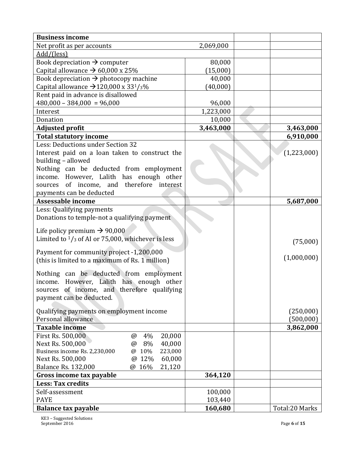| <b>Business income</b>                                                     |           |                |
|----------------------------------------------------------------------------|-----------|----------------|
| Net profit as per accounts                                                 | 2,069,000 |                |
| Add/(less)                                                                 |           |                |
| Book depreciation $\rightarrow$ computer                                   | 80,000    |                |
| Capital allowance $\rightarrow$ 60,000 x 25%                               | (15,000)  |                |
| Book depreciation $\rightarrow$ photocopy machine                          | 40,000    |                |
| Capital allowance $\rightarrow$ 120,000 x 33 <sup>1</sup> / <sub>3</sub> % | (40,000)  |                |
| Rent paid in advance is disallowed                                         |           |                |
| $480,000 - 384,000 = 96,000$                                               | 96,000    |                |
| Interest                                                                   | 1,223,000 |                |
| Donation                                                                   | 10,000    |                |
| <b>Adjusted profit</b>                                                     | 3,463,000 | 3,463,000      |
| <b>Total statutory income</b>                                              |           | 6,910,000      |
| Less: Deductions under Section 32                                          |           |                |
| Interest paid on a loan taken to construct the                             |           | (1,223,000)    |
| building - allowed                                                         |           |                |
| Nothing can be deducted from employment                                    |           |                |
| income. However, Lalith has enough other                                   |           |                |
| of income, and therefore interest<br>sources                               |           |                |
| payments can be deducted                                                   |           |                |
| <b>Assessable income</b>                                                   |           | 5,687,000      |
| Less: Qualifying payments                                                  |           |                |
| Donations to temple-not a qualifying payment                               |           |                |
|                                                                            |           |                |
| Life policy premium $\rightarrow$ 90,000                                   |           |                |
| Limited to $\frac{1}{3}$ of AI or 75,000, whichever is less                |           | (75,000)       |
| Payment for community project -1,200,000                                   |           |                |
| (this is limited to a maximum of Rs. 1 million)                            |           | (1,000,000)    |
|                                                                            |           |                |
| Nothing can be deducted from employment                                    |           |                |
| income. However, Lalith has enough other                                   |           |                |
| sources of income, and therefore qualifying                                |           |                |
| payment can be deducted.                                                   |           |                |
| Qualifying payments on employment income                                   |           | (250,000)      |
| Personal allowance                                                         |           | (500,000)      |
| <b>Taxable income</b>                                                      |           | 3,862,000      |
| First Rs. 500,000<br>20,000<br>4%<br>$\omega$                              |           |                |
| Next Rs. 500,000<br>8%<br>40,000<br>$\omega$                               |           |                |
| Business income Rs. 2,230,000<br>10%<br>223,000<br>$\omega$                |           |                |
| Next Rs. 500,000<br>12%<br>60,000<br>$\omega$                              |           |                |
| <b>Balance Rs. 132,000</b><br>@ 16%<br>21,120                              |           |                |
| Gross income tax payable                                                   | 364,120   |                |
| <b>Less: Tax credits</b>                                                   |           |                |
| Self-assessment                                                            | 100,000   |                |
| <b>PAYE</b>                                                                | 103,440   |                |
| <b>Balance tax payable</b>                                                 | 160,680   | Total:20 Marks |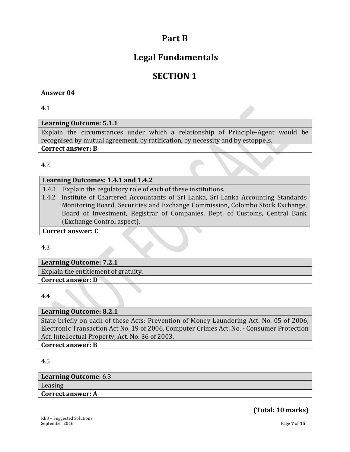# **Part B**

# **Legal Fundamentals**

# **SECTION 1**

#### **Answer 04**

4.1

#### **Learning Outcome: 5.1.1**

Explain the circumstances under which a relationship of Principle-Agent would be recognised by mutual agreement, by ratification, by necessity and by estoppels.

#### **Correct answer: B**

#### 4.2

#### **Learning Outcomes: 1.4.1 and 1.4.2**

- 1.4.1 Explain the regulatory role of each of these institutions.
- 1.4.2 Institute of Chartered Accountants of Sri Lanka, Sri Lanka Accounting Standards Monitoring Board, Securities and Exchange Commission, Colombo Stock Exchange, Board of Investment, Registrar of Companies, Dept. of Customs, Central Bank (Exchange Control aspect).

#### **Correct answer: C**

4.3

**Learning Outcome: 7.2.1** Explain the entitlement of gratuity. **Correct answer: D**

4.4

#### **Learning Outcome: 8.2.1**

State briefly on each of these Acts: Prevention of Money Laundering Act. No. 05 of 2006, Electronic Transaction Act No. 19 of 2006, Computer Crimes Act. No. - Consumer Protection Act, Intellectual Property, Act. No. 36 of 2003.

**Correct answer: B**

4.5

| Learning Outcome: 6.3    |  |
|--------------------------|--|
| Leasing                  |  |
| <b>Correct answer: A</b> |  |
|                          |  |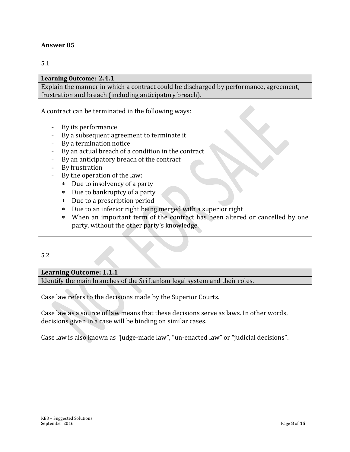#### 5.1

#### **Learning Outcome: 2.4.1**

Explain the manner in which a contract could be discharged by performance, agreement, frustration and breach (including anticipatory breach).

A contract can be terminated in the following ways:

- By its performance
- By a subsequent agreement to terminate it
- By a termination notice
- By an actual breach of a condition in the contract
- By an anticipatory breach of the contract
- By frustration
- By the operation of the law:
	- Due to insolvency of a party
	- Due to bankruptcy of a party
	- Due to a prescription period
	- Due to an inferior right being merged with a superior right
	- When an important term of the contract has been altered or cancelled by one party, without the other party's knowledge.
- 5.2

#### **Learning Outcome: 1.1.1**

Identify the main branches of the Sri Lankan legal system and their roles.

Case law refers to the decisions made by the Superior Courts.

Case law as a source of law means that these decisions serve as laws. In other words, decisions given in a case will be binding on similar cases.

Case law is also known as "judge-made law", "un-enacted law" or "judicial decisions".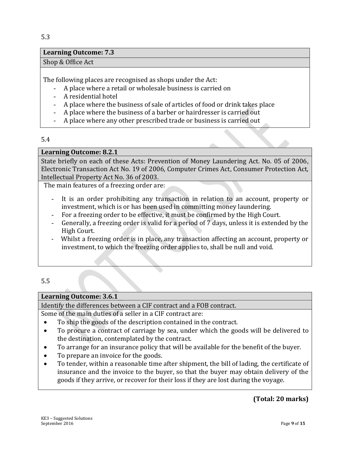#### **Learning Outcome: 7.3**

#### Shop & Office Act

The following places are recognised as shops under the Act:

- A place where a retail or wholesale business is carried on
- A residential hotel
- A place where the business of sale of articles of food or drink takes place
- A place where the business of a barber or hairdresser is carried out
- A place where any other prescribed trade or business is carried out

#### 5.4

#### **Learning Outcome: 8.2.1**

State briefly on each of these Acts: Prevention of Money Laundering Act. No. 05 of 2006, Electronic Transaction Act No. 19 of 2006, Computer Crimes Act, Consumer Protection Act, Intellectual Property Act No. 36 of 2003.

The main features of a freezing order are:

- It is an order prohibiting any transaction in relation to an account, property or investment, which is or has been used in committing money laundering.
- For a freezing order to be effective, it must be confirmed by the High Court.
- Generally, a freezing order is valid for a period of 7 days, unless it is extended by the High Court.
- Whilst a freezing order is in place, any transaction affecting an account, property or investment, to which the freezing order applies to, shall be null and void.

5.5

#### **Learning Outcome: 3.6.1**

Identify the differences between a CIF contract and a FOB contract.

Some of the main duties of a seller in a CIF contract are:

- To ship the goods of the description contained in the contract.
- To procure a contract of carriage by sea, under which the goods will be delivered to the destination, contemplated by the contract.
- To arrange for an insurance policy that will be available for the benefit of the buyer.
- To prepare an invoice for the goods.
- To tender, within a reasonable time after shipment, the bill of lading, the certificate of insurance and the invoice to the buyer, so that the buyer may obtain delivery of the goods if they arrive, or recover for their loss if they are lost during the voyage.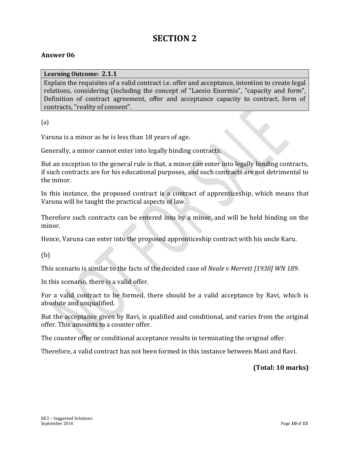## **SECTION 2**

#### **Answer 06**

**Learning Outcome: 2.1.1**

Explain the requisites of a valid contract i.e. offer and acceptance, intention to create legal relations, considering (including the concept of "Laesio Enormis", "capacity and form", Definition of contract agreement, offer and acceptance capacity to contract, form of contracts, "reality of consent".

(a)

Varuna is a minor as he is less than 18 years of age.

Generally, a minor cannot enter into legally binding contracts.

But an exception to the general rule is that, a minor can enter into legally binding contracts, if such contracts are for his educational purposes, and such contracts are not detrimental to the minor.

In this instance, the proposed contract is a contract of apprenticeship, which means that Varuna will be taught the practical aspects of law.

Therefore such contracts can be entered into by a minor, and will be held binding on the minor.

Hence, Varuna can enter into the proposed apprenticeship contract with his uncle Karu.

(b)

This scenario is similar to the facts of the decided case of *Neale v Merrett [1930] WN 189*.

In this scenario, there is a valid offer.

For a valid contract to be formed, there should be a valid acceptance by Ravi, which is absolute and unqualified.

But the acceptance given by Ravi, is qualified and conditional, and varies from the original offer. This amounts to a counter offer.

The counter offer or conditional acceptance results in terminating the original offer.

Therefore, a valid contract has not been formed in this instance between Mani and Ravi.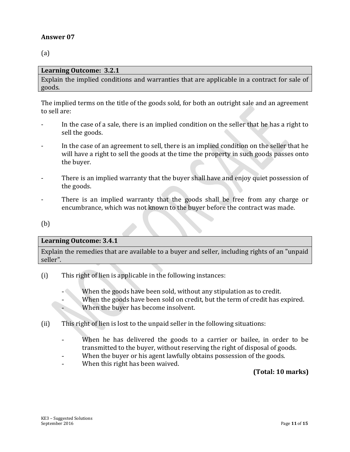(a)

#### **Learning Outcome: 3.2.1**

Explain the implied conditions and warranties that are applicable in a contract for sale of goods.

The implied terms on the title of the goods sold, for both an outright sale and an agreement to sell are:

- In the case of a sale, there is an implied condition on the seller that he has a right to sell the goods.
- In the case of an agreement to sell, there is an implied condition on the seller that he will have a right to sell the goods at the time the property in such goods passes onto the buyer.
- There is an implied warranty that the buyer shall have and enjoy quiet possession of the goods.
- There is an implied warranty that the goods shall be free from any charge or encumbrance, which was not known to the buyer before the contract was made.

(b)

#### **Learning Outcome: 3.4.1**

Explain the remedies that are available to a buyer and seller, including rights of an "unpaid seller".

- (i) This right of lien is applicable in the following instances:
	- When the goods have been sold, without any stipulation as to credit.
	- When the goods have been sold on credit, but the term of credit has expired. - When the buyer has become insolvent.
- (ii) This right of lien is lost to the unpaid seller in the following situations:
	- When he has delivered the goods to a carrier or bailee, in order to be transmitted to the buyer, without reserving the right of disposal of goods.
	- When the buyer or his agent lawfully obtains possession of the goods.
	- When this right has been waived.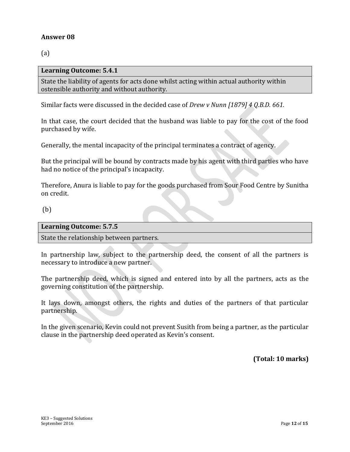(a)

#### **Learning Outcome: 5.4.1**

State the liability of agents for acts done whilst acting within actual authority within ostensible authority and without authority.

Similar facts were discussed in the decided case of *Drew v Nunn [1879] 4 Q.B.D. 661.*

In that case, the court decided that the husband was liable to pay for the cost of the food purchased by wife.

Generally, the mental incapacity of the principal terminates a contract of agency.

But the principal will be bound by contracts made by his agent with third parties who have had no notice of the principal's incapacity.

Therefore, Anura is liable to pay for the goods purchased from Sour Food Centre by Sunitha on credit.

#### (b)

| <b>Learning Outcome: 5.7.5</b>           |  |  |
|------------------------------------------|--|--|
| State the relationship between partners. |  |  |
|                                          |  |  |

In partnership law, subject to the partnership deed, the consent of all the partners is necessary to introduce a new partner.

The partnership deed, which is signed and entered into by all the partners, acts as the governing constitution of the partnership.

It lays down, amongst others, the rights and duties of the partners of that particular partnership.

In the given scenario, Kevin could not prevent Susith from being a partner, as the particular clause in the partnership deed operated as Kevin's consent.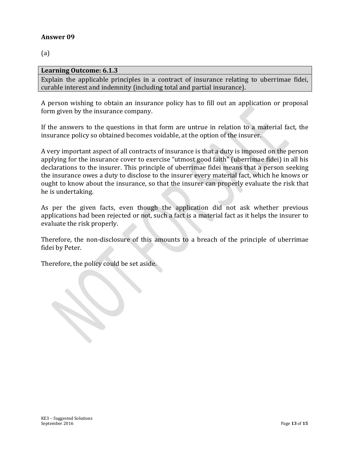(a)

#### **Learning Outcome: 6.1.3**

Explain the applicable principles in a contract of insurance relating to uberrimae fidei, curable interest and indemnity (including total and partial insurance).

A person wishing to obtain an insurance policy has to fill out an application or proposal form given by the insurance company.

If the answers to the questions in that form are untrue in relation to a material fact, the insurance policy so obtained becomes voidable, at the option of the insurer.

A very important aspect of all contracts of insurance is that a duty is imposed on the person applying for the insurance cover to exercise "utmost good faith" (uberrimae fidei) in all his declarations to the insurer. This principle of uberrimae fidei means that a person seeking the insurance owes a duty to disclose to the insurer every material fact, which he knows or ought to know about the insurance, so that the insurer can properly evaluate the risk that he is undertaking.

As per the given facts, even though the application did not ask whether previous applications had been rejected or not, such a fact is a material fact as it helps the insurer to evaluate the risk properly.

Therefore, the non-disclosure of this amounts to a breach of the principle of uberrimae fidei by Peter.

Therefore, the policy could be set aside.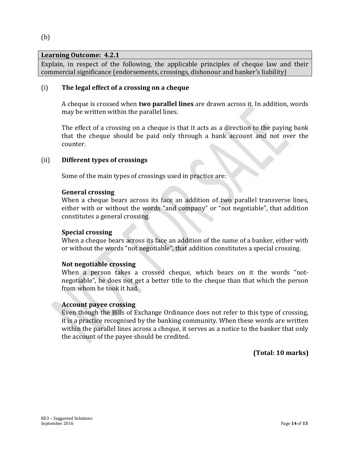#### **Learning Outcome: 4.2.1**

Explain, in respect of the following, the applicable principles of cheque law and their commercial significance (endorsements, crossings, dishonour and banker's liability)

#### (i) **The legal effect of a crossing on a cheque**

A cheque is crossed when **two parallel lines** are drawn across it. In addition, words may be written within the parallel lines.

The effect of a crossing on a cheque is that it acts as a direction to the paying bank that the cheque should be paid only through a bank account and not over the counter.

#### (ii) **Different types of crossings**

Some of the main types of crossings used in practice are:

#### **General crossing**

When a cheque bears across its face an addition of two parallel transverse lines, either with or without the words "and company" or "not negotiable", that addition constitutes a general crossing.

#### **Special crossing**

When a cheque bears across its face an addition of the name of a banker, either with or without the words "not negotiable", that addition constitutes a special crossing.

#### **Not negotiable crossing**

When a person takes a crossed cheque, which bears on it the words "notnegotiable", he does not get a better title to the cheque than that which the person from whom he took it had.

#### **Account payee crossing**

Even though the Bills of Exchange Ordinance does not refer to this type of crossing, it is a practice recognised by the banking community. When these words are written within the parallel lines across a cheque, it serves as a notice to the banker that only the account of the payee should be credited.